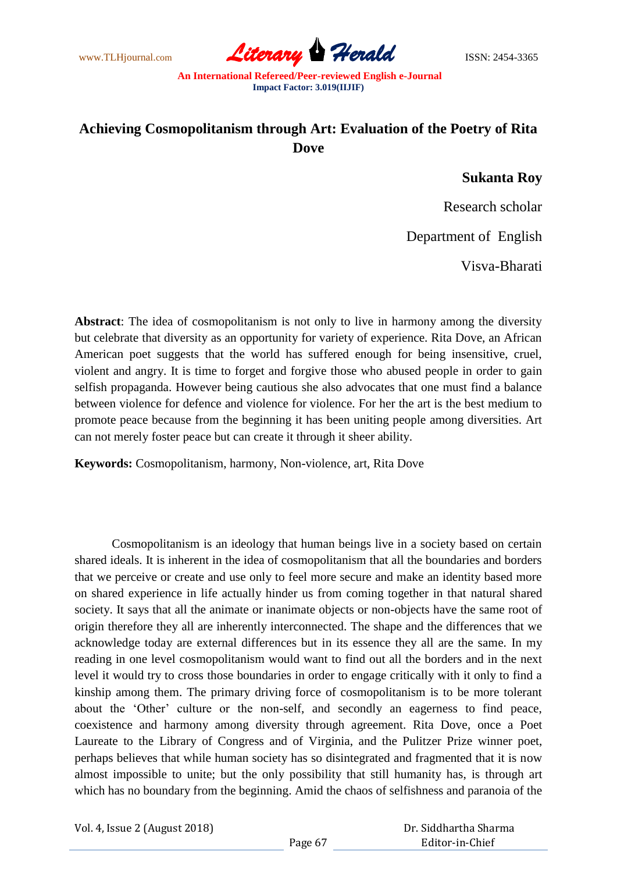www.TLHjournal.com **Literary Herald** ISSN: 2454-3365

## **Achieving Cosmopolitanism through Art: Evaluation of the Poetry of Rita Dove**

## **Sukanta Roy**

Research scholar

Department of English

Visva-Bharati

**Abstract**: The idea of cosmopolitanism is not only to live in harmony among the diversity but celebrate that diversity as an opportunity for variety of experience. Rita Dove, an African American poet suggests that the world has suffered enough for being insensitive, cruel, violent and angry. It is time to forget and forgive those who abused people in order to gain selfish propaganda. However being cautious she also advocates that one must find a balance between violence for defence and violence for violence. For her the art is the best medium to promote peace because from the beginning it has been uniting people among diversities. Art can not merely foster peace but can create it through it sheer ability.

**Keywords:** Cosmopolitanism, harmony, Non-violence, art, Rita Dove

Cosmopolitanism is an ideology that human beings live in a society based on certain shared ideals. It is inherent in the idea of cosmopolitanism that all the boundaries and borders that we perceive or create and use only to feel more secure and make an identity based more on shared experience in life actually hinder us from coming together in that natural shared society. It says that all the animate or inanimate objects or non-objects have the same root of origin therefore they all are inherently interconnected. The shape and the differences that we acknowledge today are external differences but in its essence they all are the same. In my reading in one level cosmopolitanism would want to find out all the borders and in the next level it would try to cross those boundaries in order to engage critically with it only to find a kinship among them. The primary driving force of cosmopolitanism is to be more tolerant about the "Other" culture or the non-self, and secondly an eagerness to find peace, coexistence and harmony among diversity through agreement. Rita Dove, once a Poet Laureate to the Library of Congress and of Virginia, and the Pulitzer Prize winner poet, perhaps believes that while human society has so disintegrated and fragmented that it is now almost impossible to unite; but the only possibility that still humanity has, is through art which has no boundary from the beginning. Amid the chaos of selfishness and paranoia of the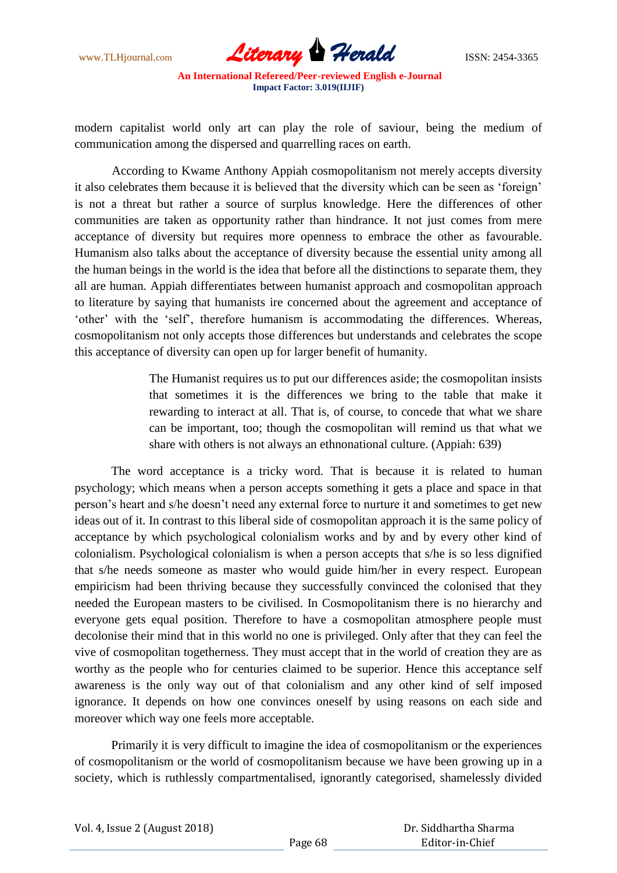www.TLHjournal.com *Literary Herald*ISSN: 2454-3365

modern capitalist world only art can play the role of saviour, being the medium of communication among the dispersed and quarrelling races on earth.

According to Kwame Anthony Appiah cosmopolitanism not merely accepts diversity it also celebrates them because it is believed that the diversity which can be seen as "foreign" is not a threat but rather a source of surplus knowledge. Here the differences of other communities are taken as opportunity rather than hindrance. It not just comes from mere acceptance of diversity but requires more openness to embrace the other as favourable. Humanism also talks about the acceptance of diversity because the essential unity among all the human beings in the world is the idea that before all the distinctions to separate them, they all are human. Appiah differentiates between humanist approach and cosmopolitan approach to literature by saying that humanists ire concerned about the agreement and acceptance of 'other' with the 'self', therefore humanism is accommodating the differences. Whereas, cosmopolitanism not only accepts those differences but understands and celebrates the scope this acceptance of diversity can open up for larger benefit of humanity.

> The Humanist requires us to put our differences aside; the cosmopolitan insists that sometimes it is the differences we bring to the table that make it rewarding to interact at all. That is, of course, to concede that what we share can be important, too; though the cosmopolitan will remind us that what we share with others is not always an ethnonational culture. (Appiah: 639)

The word acceptance is a tricky word. That is because it is related to human psychology; which means when a person accepts something it gets a place and space in that person"s heart and s/he doesn"t need any external force to nurture it and sometimes to get new ideas out of it. In contrast to this liberal side of cosmopolitan approach it is the same policy of acceptance by which psychological colonialism works and by and by every other kind of colonialism. Psychological colonialism is when a person accepts that s/he is so less dignified that s/he needs someone as master who would guide him/her in every respect. European empiricism had been thriving because they successfully convinced the colonised that they needed the European masters to be civilised. In Cosmopolitanism there is no hierarchy and everyone gets equal position. Therefore to have a cosmopolitan atmosphere people must decolonise their mind that in this world no one is privileged. Only after that they can feel the vive of cosmopolitan togetherness. They must accept that in the world of creation they are as worthy as the people who for centuries claimed to be superior. Hence this acceptance self awareness is the only way out of that colonialism and any other kind of self imposed ignorance. It depends on how one convinces oneself by using reasons on each side and moreover which way one feels more acceptable.

Primarily it is very difficult to imagine the idea of cosmopolitanism or the experiences of cosmopolitanism or the world of cosmopolitanism because we have been growing up in a society, which is ruthlessly compartmentalised, ignorantly categorised, shamelessly divided

|  | Vol. 4, Issue 2 (August 2018) |
|--|-------------------------------|
|--|-------------------------------|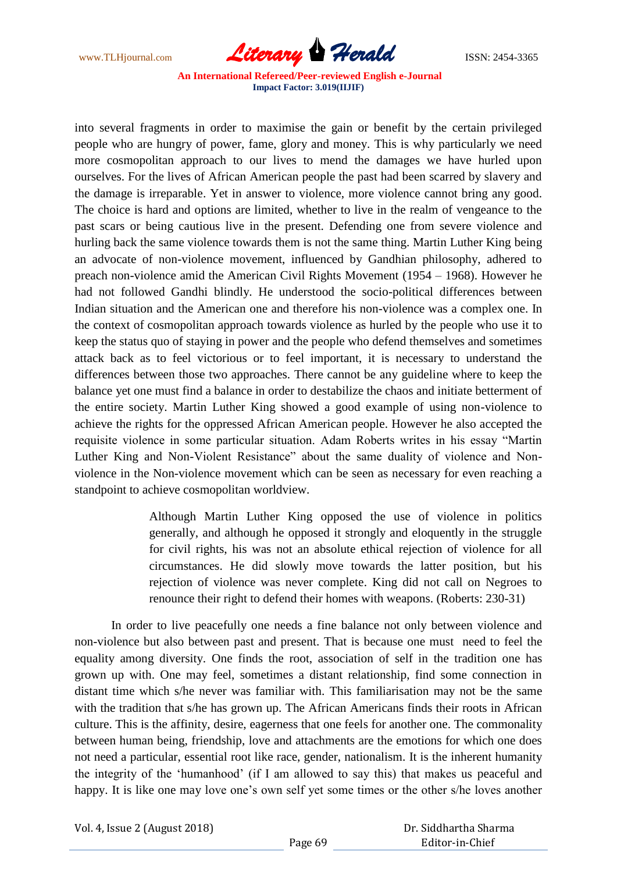www.TLHjournal.com *Literary Herald*ISSN: 2454-3365

into several fragments in order to maximise the gain or benefit by the certain privileged people who are hungry of power, fame, glory and money. This is why particularly we need more cosmopolitan approach to our lives to mend the damages we have hurled upon ourselves. For the lives of African American people the past had been scarred by slavery and the damage is irreparable. Yet in answer to violence, more violence cannot bring any good. The choice is hard and options are limited, whether to live in the realm of vengeance to the past scars or being cautious live in the present. Defending one from severe violence and hurling back the same violence towards them is not the same thing. Martin Luther King being an advocate of non-violence movement, influenced by Gandhian philosophy, adhered to preach non-violence amid the American Civil Rights Movement (1954 – 1968). However he had not followed Gandhi blindly. He understood the socio-political differences between Indian situation and the American one and therefore his non-violence was a complex one. In the context of cosmopolitan approach towards violence as hurled by the people who use it to keep the status quo of staying in power and the people who defend themselves and sometimes attack back as to feel victorious or to feel important, it is necessary to understand the differences between those two approaches. There cannot be any guideline where to keep the balance yet one must find a balance in order to destabilize the chaos and initiate betterment of the entire society. Martin Luther King showed a good example of using non-violence to achieve the rights for the oppressed African American people. However he also accepted the requisite violence in some particular situation. Adam Roberts writes in his essay "Martin Luther King and Non-Violent Resistance" about the same duality of violence and Nonviolence in the Non-violence movement which can be seen as necessary for even reaching a standpoint to achieve cosmopolitan worldview.

> Although Martin Luther King opposed the use of violence in politics generally, and although he opposed it strongly and eloquently in the struggle for civil rights, his was not an absolute ethical rejection of violence for all circumstances. He did slowly move towards the latter position, but his rejection of violence was never complete. King did not call on Negroes to renounce their right to defend their homes with weapons. (Roberts: 230-31)

In order to live peacefully one needs a fine balance not only between violence and non-violence but also between past and present. That is because one must need to feel the equality among diversity. One finds the root, association of self in the tradition one has grown up with. One may feel, sometimes a distant relationship, find some connection in distant time which s/he never was familiar with. This familiarisation may not be the same with the tradition that s/he has grown up. The African Americans finds their roots in African culture. This is the affinity, desire, eagerness that one feels for another one. The commonality between human being, friendship, love and attachments are the emotions for which one does not need a particular, essential root like race, gender, nationalism. It is the inherent humanity the integrity of the "humanhood" (if I am allowed to say this) that makes us peaceful and happy. It is like one may love one's own self yet some times or the other s/he loves another

Vol. 4, Issue 2 (August 2018)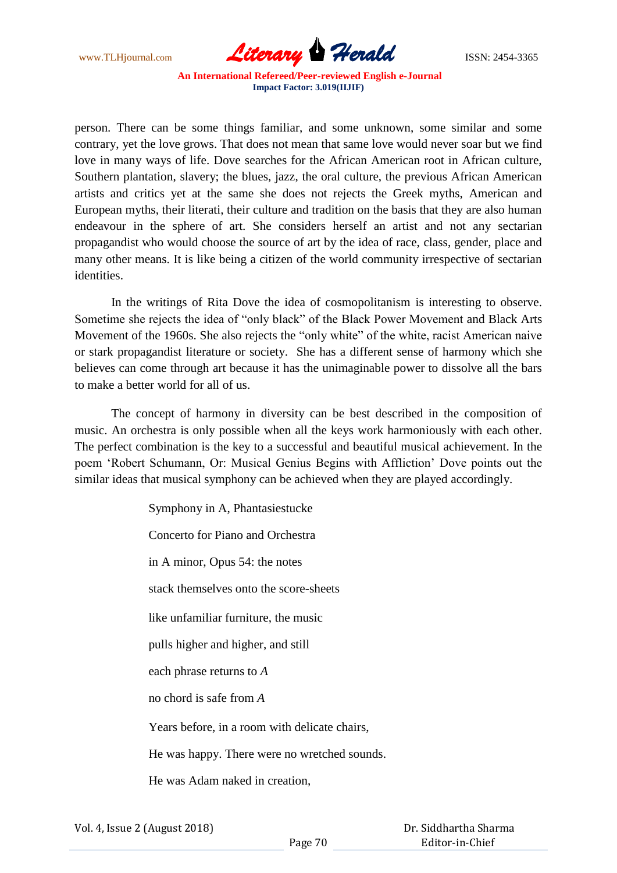

person. There can be some things familiar, and some unknown, some similar and some contrary, yet the love grows. That does not mean that same love would never soar but we find love in many ways of life. Dove searches for the African American root in African culture, Southern plantation, slavery; the blues, jazz, the oral culture, the previous African American artists and critics yet at the same she does not rejects the Greek myths, American and European myths, their literati, their culture and tradition on the basis that they are also human endeavour in the sphere of art. She considers herself an artist and not any sectarian propagandist who would choose the source of art by the idea of race, class, gender, place and many other means. It is like being a citizen of the world community irrespective of sectarian identities.

In the writings of Rita Dove the idea of cosmopolitanism is interesting to observe. Sometime she rejects the idea of "only black" of the Black Power Movement and Black Arts Movement of the 1960s. She also rejects the "only white" of the white, racist American naive or stark propagandist literature or society. She has a different sense of harmony which she believes can come through art because it has the unimaginable power to dissolve all the bars to make a better world for all of us.

The concept of harmony in diversity can be best described in the composition of music. An orchestra is only possible when all the keys work harmoniously with each other. The perfect combination is the key to a successful and beautiful musical achievement. In the poem "Robert Schumann, Or: Musical Genius Begins with Affliction" Dove points out the similar ideas that musical symphony can be achieved when they are played accordingly.

> Symphony in A, Phantasiestucke Concerto for Piano and Orchestra in A minor, Opus 54: the notes stack themselves onto the score-sheets like unfamiliar furniture, the music pulls higher and higher, and still each phrase returns to *A* no chord is safe from *A* Years before, in a room with delicate chairs, He was happy. There were no wretched sounds. He was Adam naked in creation,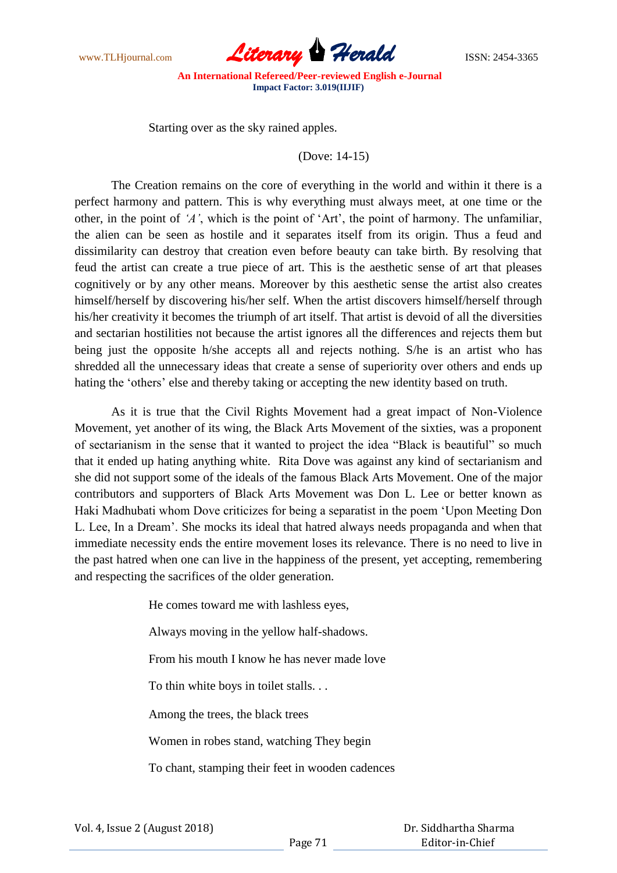

Starting over as the sky rained apples.

(Dove: 14-15)

The Creation remains on the core of everything in the world and within it there is a perfect harmony and pattern. This is why everything must always meet, at one time or the other, in the point of *'A'*, which is the point of "Art", the point of harmony. The unfamiliar, the alien can be seen as hostile and it separates itself from its origin. Thus a feud and dissimilarity can destroy that creation even before beauty can take birth. By resolving that feud the artist can create a true piece of art. This is the aesthetic sense of art that pleases cognitively or by any other means. Moreover by this aesthetic sense the artist also creates himself/herself by discovering his/her self. When the artist discovers himself/herself through his/her creativity it becomes the triumph of art itself. That artist is devoid of all the diversities and sectarian hostilities not because the artist ignores all the differences and rejects them but being just the opposite h/she accepts all and rejects nothing. S/he is an artist who has shredded all the unnecessary ideas that create a sense of superiority over others and ends up hating the 'others' else and thereby taking or accepting the new identity based on truth.

As it is true that the Civil Rights Movement had a great impact of Non-Violence Movement, yet another of its wing, the Black Arts Movement of the sixties, was a proponent of sectarianism in the sense that it wanted to project the idea "Black is beautiful" so much that it ended up hating anything white. Rita Dove was against any kind of sectarianism and she did not support some of the ideals of the famous Black Arts Movement. One of the major contributors and supporters of Black Arts Movement was Don L. Lee or better known as Haki Madhubati whom Dove criticizes for being a separatist in the poem "Upon Meeting Don L. Lee, In a Dream". She mocks its ideal that hatred always needs propaganda and when that immediate necessity ends the entire movement loses its relevance. There is no need to live in the past hatred when one can live in the happiness of the present, yet accepting, remembering and respecting the sacrifices of the older generation.

> He comes toward me with lashless eyes, Always moving in the yellow half-shadows. From his mouth I know he has never made love To thin white boys in toilet stalls. . . Among the trees, the black trees Women in robes stand, watching They begin To chant, stamping their feet in wooden cadences

|  | Vol. 4, Issue 2 (August 2018) |
|--|-------------------------------|
|--|-------------------------------|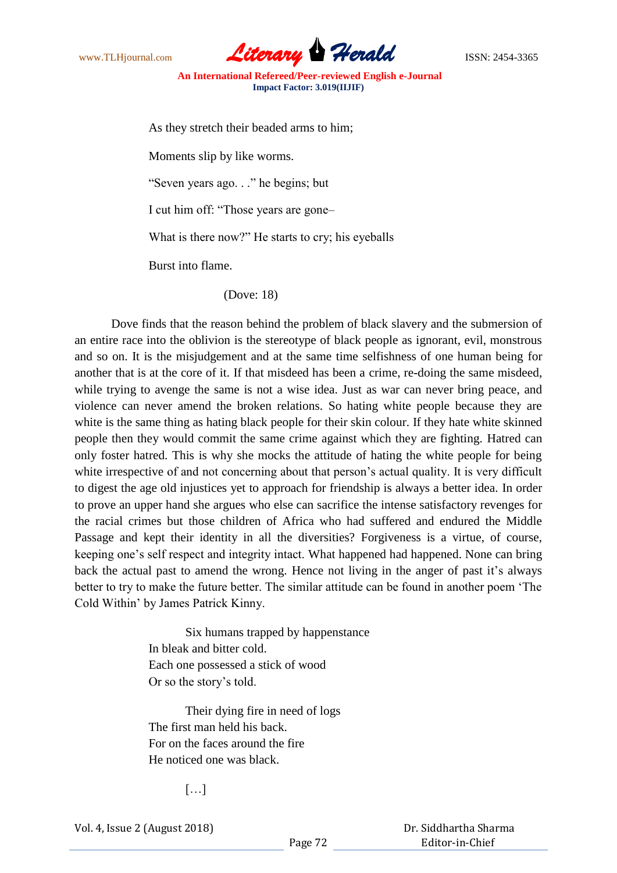www.TLHjournal.com *Literary Herald*ISSN: 2454-3365

As they stretch their beaded arms to him;

Moments slip by like worms.

"Seven years ago. . ." he begins; but

I cut him off: "Those years are gone–

What is there now?" He starts to cry; his eyeballs

Burst into flame.

## (Dove: 18)

Dove finds that the reason behind the problem of black slavery and the submersion of an entire race into the oblivion is the stereotype of black people as ignorant, evil, monstrous and so on. It is the misjudgement and at the same time selfishness of one human being for another that is at the core of it. If that misdeed has been a crime, re-doing the same misdeed, while trying to avenge the same is not a wise idea. Just as war can never bring peace, and violence can never amend the broken relations. So hating white people because they are white is the same thing as hating black people for their skin colour. If they hate white skinned people then they would commit the same crime against which they are fighting. Hatred can only foster hatred. This is why she mocks the attitude of hating the white people for being white irrespective of and not concerning about that person's actual quality. It is very difficult to digest the age old injustices yet to approach for friendship is always a better idea. In order to prove an upper hand she argues who else can sacrifice the intense satisfactory revenges for the racial crimes but those children of Africa who had suffered and endured the Middle Passage and kept their identity in all the diversities? Forgiveness is a virtue, of course, keeping one"s self respect and integrity intact. What happened had happened. None can bring back the actual past to amend the wrong. Hence not living in the anger of past it's always better to try to make the future better. The similar attitude can be found in another poem "The Cold Within" by James Patrick Kinny.

> Six humans trapped by happenstance In bleak and bitter cold. Each one possessed a stick of wood Or so the story"s told.

Their dying fire in need of logs The first man held his back. For on the faces around the fire He noticed one was black.

[…]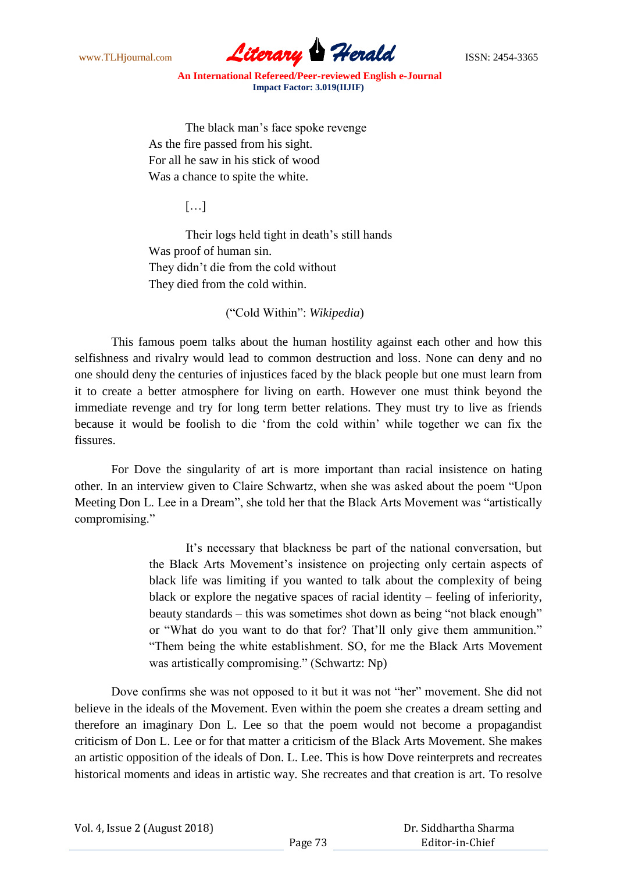

The black man"s face spoke revenge As the fire passed from his sight. For all he saw in his stick of wood Was a chance to spite the white.

[…]

Their logs held tight in death"s still hands Was proof of human sin. They didn"t die from the cold without They died from the cold within.

("Cold Within": *Wikipedia*)

This famous poem talks about the human hostility against each other and how this selfishness and rivalry would lead to common destruction and loss. None can deny and no one should deny the centuries of injustices faced by the black people but one must learn from it to create a better atmosphere for living on earth. However one must think beyond the immediate revenge and try for long term better relations. They must try to live as friends because it would be foolish to die "from the cold within" while together we can fix the fissures.

For Dove the singularity of art is more important than racial insistence on hating other. In an interview given to Claire Schwartz, when she was asked about the poem "Upon Meeting Don L. Lee in a Dream", she told her that the Black Arts Movement was "artistically compromising."

> It"s necessary that blackness be part of the national conversation, but the Black Arts Movement's insistence on projecting only certain aspects of black life was limiting if you wanted to talk about the complexity of being black or explore the negative spaces of racial identity – feeling of inferiority, beauty standards – this was sometimes shot down as being "not black enough" or "What do you want to do that for? That"ll only give them ammunition." "Them being the white establishment. SO, for me the Black Arts Movement was artistically compromising." (Schwartz: Np)

Dove confirms she was not opposed to it but it was not "her" movement. She did not believe in the ideals of the Movement. Even within the poem she creates a dream setting and therefore an imaginary Don L. Lee so that the poem would not become a propagandist criticism of Don L. Lee or for that matter a criticism of the Black Arts Movement. She makes an artistic opposition of the ideals of Don. L. Lee. This is how Dove reinterprets and recreates historical moments and ideas in artistic way. She recreates and that creation is art. To resolve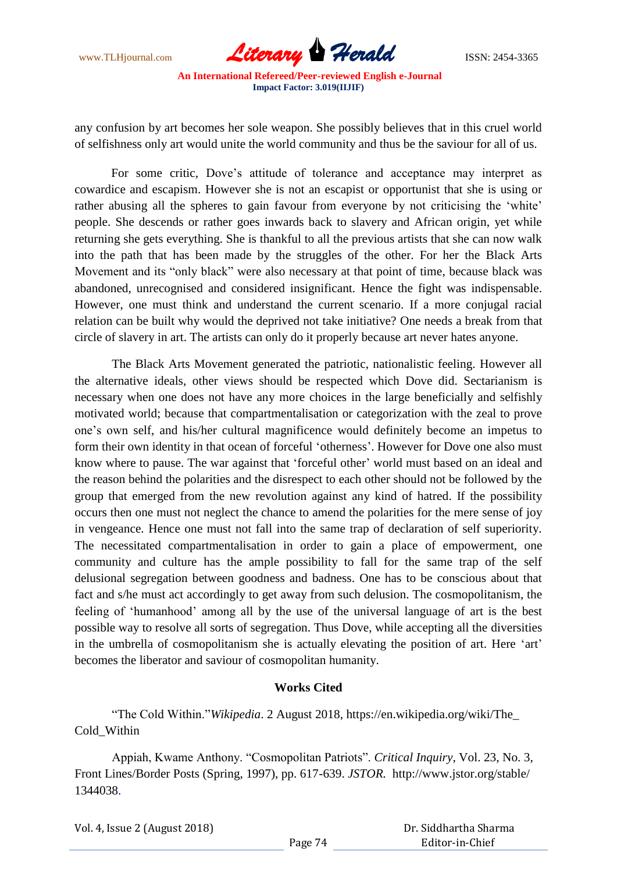

any confusion by art becomes her sole weapon. She possibly believes that in this cruel world of selfishness only art would unite the world community and thus be the saviour for all of us.

For some critic, Dove's attitude of tolerance and acceptance may interpret as cowardice and escapism. However she is not an escapist or opportunist that she is using or rather abusing all the spheres to gain favour from everyone by not criticising the 'white' people. She descends or rather goes inwards back to slavery and African origin, yet while returning she gets everything. She is thankful to all the previous artists that she can now walk into the path that has been made by the struggles of the other. For her the Black Arts Movement and its "only black" were also necessary at that point of time, because black was abandoned, unrecognised and considered insignificant. Hence the fight was indispensable. However, one must think and understand the current scenario. If a more conjugal racial relation can be built why would the deprived not take initiative? One needs a break from that circle of slavery in art. The artists can only do it properly because art never hates anyone.

The Black Arts Movement generated the patriotic, nationalistic feeling. However all the alternative ideals, other views should be respected which Dove did. Sectarianism is necessary when one does not have any more choices in the large beneficially and selfishly motivated world; because that compartmentalisation or categorization with the zeal to prove one"s own self, and his/her cultural magnificence would definitely become an impetus to form their own identity in that ocean of forceful 'otherness'. However for Dove one also must know where to pause. The war against that 'forceful other' world must based on an ideal and the reason behind the polarities and the disrespect to each other should not be followed by the group that emerged from the new revolution against any kind of hatred. If the possibility occurs then one must not neglect the chance to amend the polarities for the mere sense of joy in vengeance. Hence one must not fall into the same trap of declaration of self superiority. The necessitated compartmentalisation in order to gain a place of empowerment, one community and culture has the ample possibility to fall for the same trap of the self delusional segregation between goodness and badness. One has to be conscious about that fact and s/he must act accordingly to get away from such delusion. The cosmopolitanism, the feeling of "humanhood" among all by the use of the universal language of art is the best possible way to resolve all sorts of segregation. Thus Dove, while accepting all the diversities in the umbrella of cosmopolitanism she is actually elevating the position of art. Here 'art' becomes the liberator and saviour of cosmopolitan humanity.

## **Works Cited**

"The Cold Within."*Wikipedia*. 2 August 2018, https://en.wikipedia.org/wiki/The\_ Cold\_Within

Appiah, Kwame Anthony. "Cosmopolitan Patriots". *Critical Inquiry*, Vol. 23, No. 3, Front Lines/Border Posts (Spring, 1997), pp. 617-639. *JSTOR.* http://www.jstor.org/stable/ 1344038.

Vol. 4, Issue 2 (August 2018)